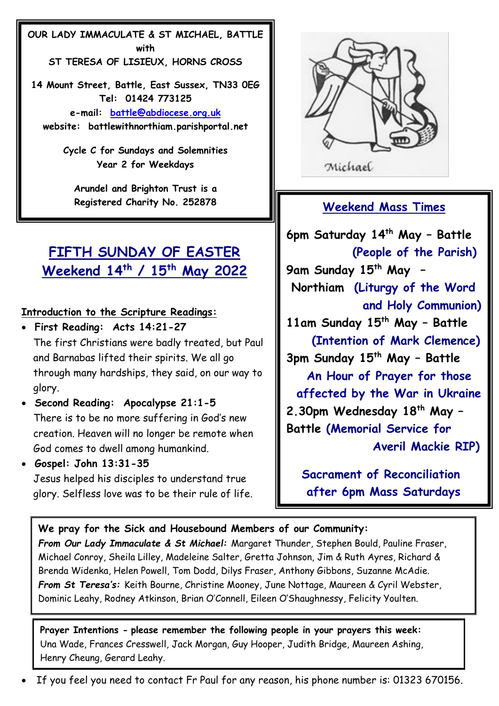**OUR LADY IMMACULATE & ST MICHAEL, BATTLE with ST TERESA OF LISIEUX, HORNS CROSS**

**14 Mount Street, Battle, East Sussex, TN33 0EG Tel: 01424 773125 e-mail: [battle@abdiocese.org.uk](about:blank) website: battlewithnorthiam.parishportal.net**

> **Cycle C for Sundays and Solemnities Year 2 for Weekdays**

**Arundel and Brighton Trust is a Registered Charity No. 252878**

# **FIFTH SUNDAY OF EASTER Weekend 14th / 15th May 2022**

## **Introduction to the Scripture Readings:**

- • **First Reading: Acts 14:21-27** The first Christians were badly treated, but Paul and Barnabas lifted their spirits. We all go through many hardships, they said, on our way to glory.
- • **Second Reading: Apocalypse 21:1-5** There is to be no more suffering in God's new creation. Heaven will no longer be remote when God comes to dwell among humankind.

• **Gospel: John 13:31-35** Jesus helped his disciples to understand true glory. Selfless love was to be their rule of life.



Michael

## **Weekend Mass Times**

**6pm Saturday 14th May – Battle (People of the Parish) 9am Sunday 15th May – Northiam (Liturgy of the Word and Holy Communion) 11am Sunday 15th May – Battle (Intention of Mark Clemence) 3pm Sunday 15th May – Battle An Hour of Prayer for those affected by the War in Ukraine 2.30pm Wednesday 18th May – Battle (Memorial Service for Averil Mackie RIP)**

 **Sacrament of Reconciliation after 6pm Mass Saturdays**

**We pray for the Sick and Housebound Members of our Community:** *From Our Lady Immaculate & St Michael:* Margaret Thunder, Stephen Bould, Pauline Fraser, Michael Conroy, Sheila Lilley, Madeleine Salter, Gretta Johnson, Jim & Ruth Ayres, Richard & Brenda Widenka, Helen Powell, Tom Dodd, Dilys Fraser, Anthony Gibbons, Suzanne McAdie. *From St Teresa's:* Keith Bourne, Christine Mooney, June Nottage, Maureen & Cyril Webster, Dominic Leahy, Rodney Atkinson, Brian O'Connell, Eileen O'Shaughnessy, Felicity Youlten.

**Prayer Intentions - please remember the following people in your prayers this week:** Una Wade, Frances Cresswell, Jack Morgan, Guy Hooper, Judith Bridge, Maureen Ashing, Henry Cheung, Gerard Leahy.

• If you feel you need to contact Fr Paul for any reason, his phone number is: 01323 670156.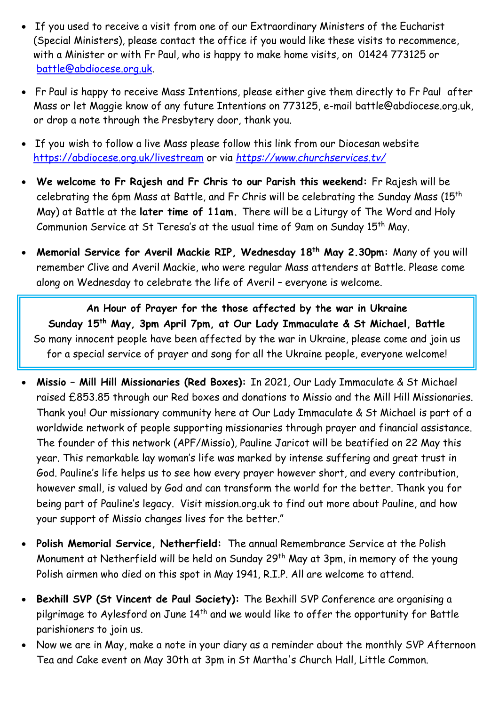- If you used to receive a visit from one of our Extraordinary Ministers of the Eucharist (Special Ministers), please contact the office if you would like these visits to recommence, with a Minister or with Fr Paul, who is happy to make home visits, on 01424 773125 or [battle@abdiocese.org.uk.](mailto:battle@abdiocese.org.uk)
- Fr Paul is happy to receive Mass Intentions, please either give them directly to Fr Paul after Mass or let Maggie know of any future Intentions on 773125, e-mail battle@abdiocese.org.uk, or drop a note through the Presbytery door, thank you.
- If you wish to follow a live Mass please follow this link from our Diocesan website <https://abdiocese.org.uk/livestream> or via *<https://www.churchservices.tv/>*
- **We welcome to Fr Rajesh and Fr Chris to our Parish this weekend:** Fr Rajesh will be celebrating the 6pm Mass at Battle, and Fr Chris will be celebrating the Sunday Mass (15<sup>th</sup> May) at Battle at the **later time of 11am.** There will be a Liturgy of The Word and Holy Communion Service at St Teresa's at the usual time of 9am on Sunday 15<sup>th</sup> May.
- **Memorial Service for Averil Mackie RIP, Wednesday 18th May 2.30pm:** Many of you will remember Clive and Averil Mackie, who were regular Mass attenders at Battle. Please come along on Wednesday to celebrate the life of Averil – everyone is welcome.

**An Hour of Prayer for the those affected by the war in Ukraine Sunday 15th May, 3pm April 7pm, at Our Lady Immaculate & St Michael, Battle** So many innocent people have been affected by the war in Ukraine, please come and join us for a special service of prayer and song for all the Ukraine people, everyone welcome!

- **Missio – Mill Hill Missionaries (Red Boxes):** In 2021, Our Lady Immaculate & St Michael raised £853.85 through our Red boxes and donations to Missio and the Mill Hill Missionaries. Thank you! Our missionary community here at Our Lady Immaculate & St Michael is part of a worldwide network of people supporting missionaries through prayer and financial assistance. The founder of this network (APF/Missio), Pauline Jaricot will be beatified on 22 May this year. This remarkable lay woman's life was marked by intense suffering and great trust in God. Pauline's life helps us to see how every prayer however short, and every contribution, however small, is valued by God and can transform the world for the better. Thank you for being part of Pauline's legacy. Visit mission.org.uk to find out more about Pauline, and how your support of Missio changes lives for the better."
- **Polish Memorial Service, Netherfield:** The annual Remembrance Service at the Polish Monument at Netherfield will be held on Sunday 29<sup>th</sup> May at 3pm, in memory of the young Polish airmen who died on this spot in May 1941, R.I.P. All are welcome to attend.
- **Bexhill SVP (St Vincent de Paul Society):** The Bexhill SVP Conference are organising a pilgrimage to Aylesford on June 14<sup>th</sup> and we would like to offer the opportunity for Battle parishioners to join us.
- Now we are in May, make a note in your diary as a reminder about the monthly SVP Afternoon Tea and Cake event on May 30th at 3pm in St Martha's Church Hall, Little Common.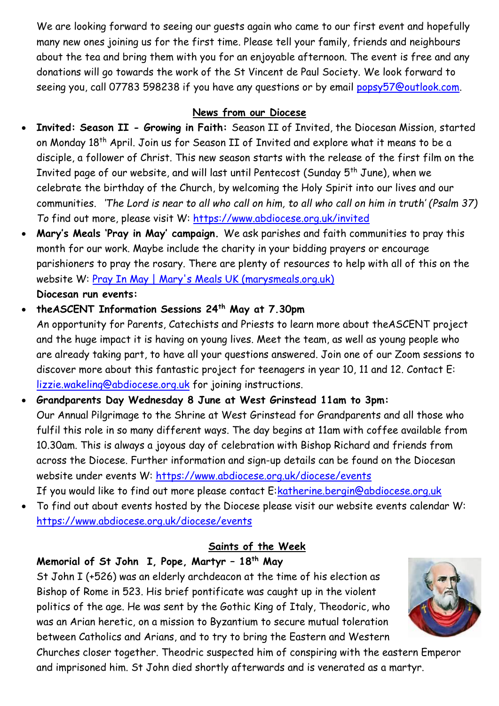We are looking forward to seeing our guests again who came to our first event and hopefully many new ones joining us for the first time. Please tell your family, friends and neighbours about the tea and bring them with you for an enjoyable afternoon. The event is free and any donations will go towards the work of the St Vincent de Paul Society. We look forward to seeing you, call 07783 598238 if you have any questions or by email [popsy57@outlook.com.](mailto:popsy57@outlook.com)

#### **News from our Diocese**

- **Invited: Season II - Growing in Faith:** Season II of Invited, the Diocesan Mission, started on Monday 18th April. Join us for Season II of Invited and explore what it means to be a disciple, a follower of Christ. This new season starts with the release of the first film on the Invited page of our website, and will last until Pentecost (Sunday 5th June), when we celebrate the birthday of the Church, by welcoming the Holy Spirit into our lives and our communities. *'The Lord is near to all who call on him, to all who call on him in truth' (Psalm 37) To* find out more, please visit W: <https://www.abdiocese.org.uk/invited>
- **Mary's Meals 'Pray in May' campaign.** We ask parishes and faith communities to pray this month for our work. Maybe include the charity in your bidding prayers or encourage parishioners to pray the rosary. There are plenty of resources to help with all of this on the website W: [Pray In May | Mary's Meals UK \(marysmeals.org.uk\)](https://www.marysmeals.org.uk/get-involved/churches-and-prayers/pray-in-may) **Diocesan run events:**
- **theASCENT Information Sessions 24th May at 7.30pm** An opportunity for Parents, Catechists and Priests to learn more about theASCENT project and the huge impact it is having on young lives. Meet the team, as well as young people who are already taking part, to have all your questions answered. Join one of our Zoom sessions to discover more about this fantastic project for teenagers in year 10, 11 and 12. Contact E: [lizzie.wakeling@abdiocese.org.uk](mailto:lizzie.wakeling@abdiocese.org.uk) for joining instructions.
- **Grandparents Day Wednesday 8 June at West Grinstead 11am to 3pm:** Our Annual Pilgrimage to the Shrine at West Grinstead for Grandparents and all those who fulfil this role in so many different ways. The day begins at 11am with coffee available from 10.30am. This is always a joyous day of celebration with Bishop Richard and friends from across the Diocese. Further information and sign-up details can be found on the Diocesan website under events W:<https://www.abdiocese.org.uk/diocese/events> If you would like to find out more please contact E[:katherine.bergin@abdiocese.org.uk](mailto:katherine.bergin@abdiocese.org.uk)
- To find out about events hosted by the Diocese please visit our website events calendar W: <https://www.abdiocese.org.uk/diocese/events>

## **Saints of the Week**

## **Memorial of St John I, Pope, Martyr – 18th May**

St John I (+526) was an elderly archdeacon at the time of his election as Bishop of Rome in 523. His brief pontificate was caught up in the violent politics of the age. He was sent by the Gothic King of Italy, Theodoric, who was an Arian heretic, on a mission to Byzantium to secure mutual toleration between Catholics and Arians, and to try to bring the Eastern and Western



Churches closer together. Theodric suspected him of conspiring with the eastern Emperor and imprisoned him. St John died shortly afterwards and is venerated as a martyr.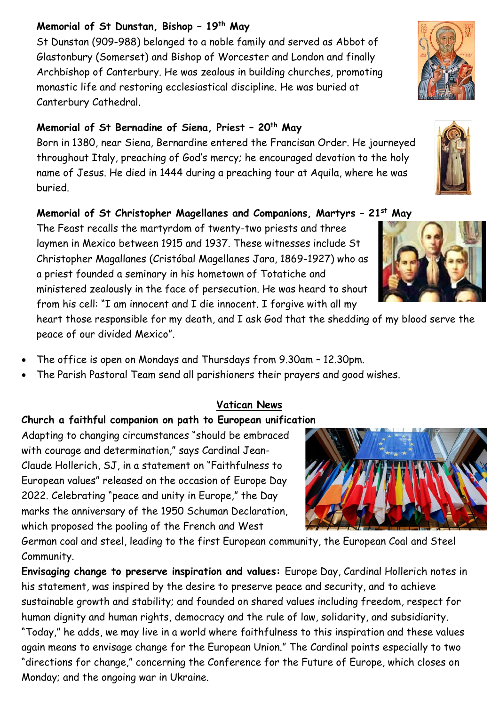#### **Memorial of St Dunstan, Bishop – 19th May**

St Dunstan (909-988) belonged to a noble family and served as Abbot of Glastonbury (Somerset) and Bishop of Worcester and London and finally Archbishop of Canterbury. He was zealous in building churches, promoting monastic life and restoring ecclesiastical discipline. He was buried at Canterbury Cathedral.

## **Memorial of St Bernadine of Siena, Priest – 20th May**

Born in 1380, near Siena, Bernardine entered the Francisan Order. He journeyed throughout Italy, preaching of God's mercy; he encouraged devotion to the holy name of Jesus. He died in 1444 during a preaching tour at Aquila, where he was buried.

## **Memorial of St Christopher Magellanes and Companions, Martyrs – 21st May**

The Feast recalls the martyrdom of twenty-two priests and three laymen in Mexico between 1915 and 1937. These witnesses include St Christopher Magallanes (Cristóbal Magellanes Jara, 1869-1927) who as a priest founded a seminary in his hometown of Totatiche and ministered zealously in the face of persecution. He was heard to shout from his cell: "I am innocent and I die innocent. I forgive with all my

heart those responsible for my death, and I ask God that the shedding of my blood serve the peace of our divided Mexico".

- The office is open on Mondays and Thursdays from 9.30am 12.30pm.
- The Parish Pastoral Team send all parishioners their prayers and good wishes.

## **Vatican News**

## **Church a faithful companion on path to European unification**

Adapting to changing circumstances "should be embraced with courage and determination," says Cardinal Jean-Claude Hollerich, SJ, in a statement on "Faithfulness to European values" released on the occasion of Europe Day 2022. Celebrating "peace and unity in Europe," the Day marks the anniversary of the 1950 Schuman Declaration, which proposed the pooling of the French and West

German coal and steel, leading to the first European community, the European Coal and Steel Community.

**Envisaging change to preserve inspiration and values:** Europe Day, Cardinal Hollerich notes in his statement, was inspired by the desire to preserve peace and security, and to achieve sustainable growth and stability; and founded on shared values including freedom, respect for human dignity and human rights, democracy and the rule of law, solidarity, and subsidiarity. "Today," he adds, we may live in a world where faithfulness to this inspiration and these values again means to envisage change for the European Union." The Cardinal points especially to two "directions for change," concerning the Conference for the Future of Europe, which closes on Monday; and the ongoing war in Ukraine.